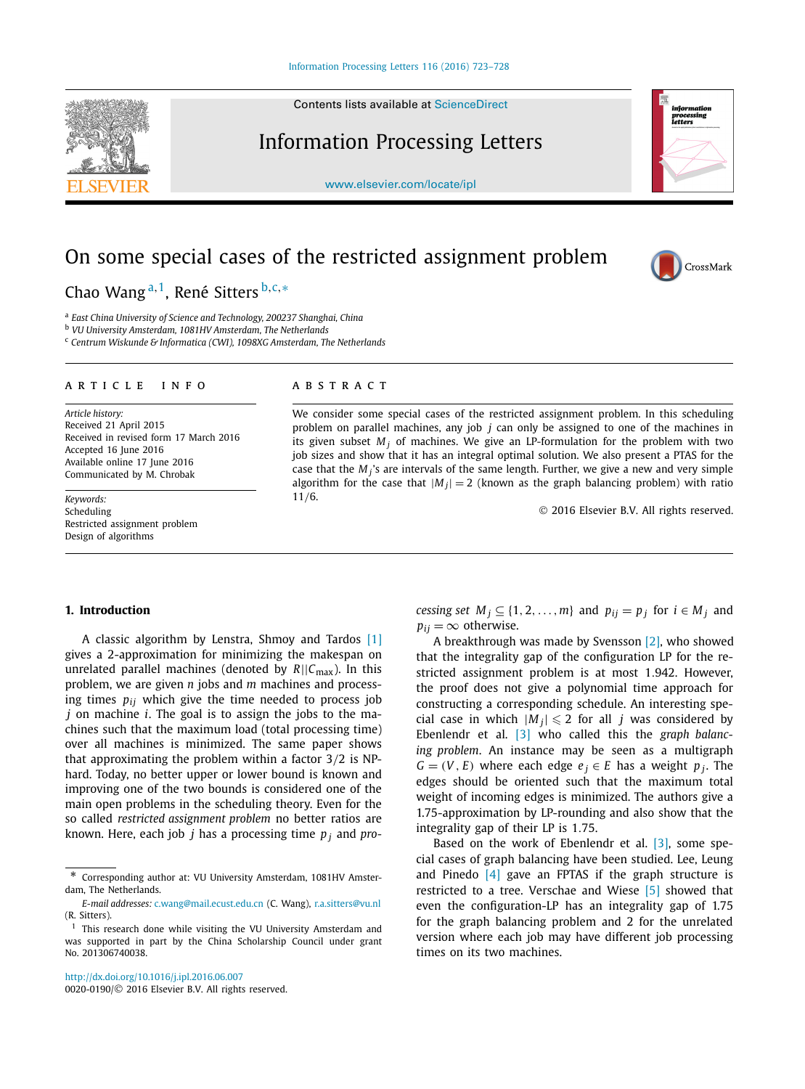Contents lists available at [ScienceDirect](http://www.ScienceDirect.com/)

# Information Processing Letters

[www.elsevier.com/locate/ipl](http://www.elsevier.com/locate/ipl)

# On some special cases of the restricted assignment problem

Chao Wang <sup>a</sup>*,*1, René Sitters <sup>b</sup>*,*c*,*<sup>∗</sup>

<sup>a</sup> *East China University of Science and Technology, 200237 Shanghai, China*

<sup>b</sup> *VU University Amsterdam, 1081HV Amsterdam, The Netherlands*

<sup>c</sup> *Centrum Wiskunde & Informatica (CWI), 1098XG Amsterdam, The Netherlands*

### A R T I C L E I N F O A B S T R A C T

*Article history:* Received 21 April 2015 Received in revised form 17 March 2016 Accepted 16 June 2016 Available online 17 June 2016 Communicated by M. Chrobak

*Keywords:* Scheduling Restricted assignment problem Design of algorithms

We consider some special cases of the restricted assignment problem. In this scheduling problem on parallel machines, any job *j* can only be assigned to one of the machines in its given subset  $M_i$  of machines. We give an LP-formulation for the problem with two job sizes and show that it has an integral optimal solution. We also present a PTAS for the case that the *M <sup>j</sup>*'s are intervals of the same length. Further, we give a new and very simple algorithm for the case that  $|M_j| = 2$  (known as the graph balancing problem) with ratio 11*/*6.

© 2016 Elsevier B.V. All rights reserved.

# **1. Introduction**

A classic algorithm by Lenstra, Shmoy and Tardos [\[1\]](#page-4-0) gives a 2-approximation for minimizing the makespan on unrelated parallel machines (denoted by  $R||C_{\text{max}}$ ). In this problem, we are given *n* jobs and *m* machines and processing times *pij* which give the time needed to process job *j* on machine *i*. The goal is to assign the jobs to the machines such that the maximum load (total processing time) over all machines is minimized. The same paper shows that approximating the problem within a factor 3*/*2 is NPhard. Today, no better upper or lower bound is known and improving one of the two bounds is considered one of the main open problems in the scheduling theory. Even for the so called *restricted assignment problem* no better ratios are known. Here, each job *j* has a processing time *p <sup>j</sup>* and *pro-*

<http://dx.doi.org/10.1016/j.ipl.2016.06.007> 0020-0190/© 2016 Elsevier B.V. All rights reserved. *cessing set*  $M_j \subseteq \{1, 2, ..., m\}$  and  $p_{ij} = p_j$  for  $i \in M_j$  and  $p_{ij} = \infty$  otherwise.

A breakthrough was made by Svensson [\[2\],](#page-4-0) who showed that the integrality gap of the configuration LP for the restricted assignment problem is at most 1*.*942. However, the proof does not give a polynomial time approach for constructing a corresponding schedule. An interesting special case in which  $|M_j| \leqslant 2$  for all *j* was considered by Ebenlendr et al. [\[3\]](#page-5-0) who called this the *graph balancing problem*. An instance may be seen as a multigraph  $G = (V, E)$  where each edge  $e_i \in E$  has a weight  $p_i$ . The edges should be oriented such that the maximum total weight of incoming edges is minimized. The authors give a 1.75-approximation by LP-rounding and also show that the integrality gap of their LP is 1*.*75.

Based on the work of Ebenlendr et al.  $[3]$ , some special cases of graph balancing have been studied. Lee, Leung and Pinedo  $[4]$  gave an FPTAS if the graph structure is restricted to a tree. Verschae and Wiese [\[5\]](#page-5-0) showed that even the configuration-LP has an integrality gap of 1.75 for the graph balancing problem and 2 for the unrelated version where each job may have different job processing times on its two machines.





CrossMark

<sup>\*</sup> Corresponding author at: VU University Amsterdam, 1081HV Amsterdam, The Netherlands.

*E-mail addresses:* [c.wang@mail.ecust.edu.cn](mailto:c.wang@mail.ecust.edu.cn) (C. Wang), [r.a.sitters@vu.nl](mailto:r.a.sitters@vu.nl) (R. Sitters).

 $1$  This research done while visiting the VU University Amsterdam and was supported in part by the China Scholarship Council under grant No. 201306740038.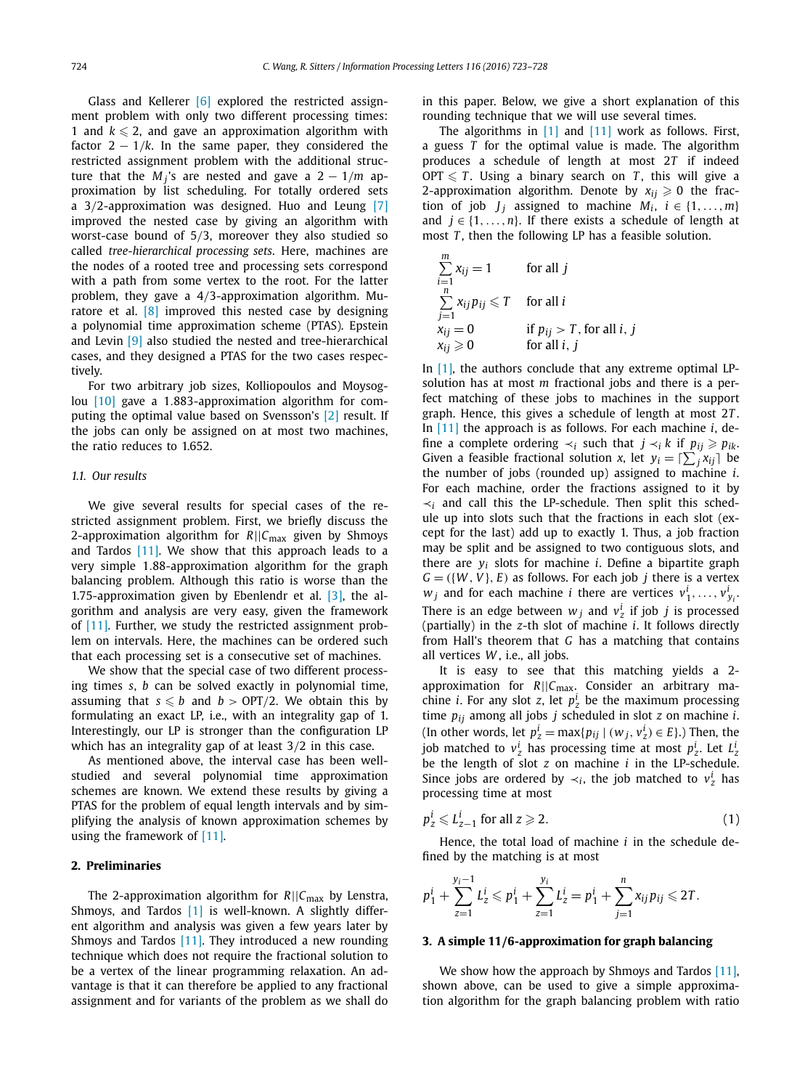<span id="page-1-0"></span>Glass and Kellerer [\[6\]](#page-5-0) explored the restricted assignment problem with only two different processing times: 1 and  $k \leq 2$ , and gave an approximation algorithm with factor  $2 - 1/k$ . In the same paper, they considered the restricted assignment problem with the additional structure that the  $M_i$ 's are nested and gave a  $2 - 1/m$  approximation by list scheduling. For totally ordered sets a 3*/*2-approximation was designed. Huo and Leung [\[7\]](#page-5-0) improved the nested case by giving an algorithm with worst-case bound of 5*/*3, moreover they also studied so called *tree-hierarchical processing sets*. Here, machines are the nodes of a rooted tree and processing sets correspond with a path from some vertex to the root. For the latter problem, they gave a 4*/*3-approximation algorithm. Muratore et al.  $[8]$  improved this nested case by designing a polynomial time approximation scheme (PTAS). Epstein and Levin [\[9\]](#page-5-0) also studied the nested and tree-hierarchical cases, and they designed a PTAS for the two cases respectively.

For two arbitrary job sizes, Kolliopoulos and Moysoglou [\[10\]](#page-5-0) gave a 1*.*883-approximation algorithm for computing the optimal value based on Svensson's [\[2\]](#page-4-0) result. If the jobs can only be assigned on at most two machines, the ratio reduces to 1.652.

# *1.1. Our results*

We give several results for special cases of the restricted assignment problem. First, we briefly discuss the 2-approximation algorithm for *R*||*C*max given by Shmoys and Tardos  $[11]$ . We show that this approach leads to a very simple 1*.*88-approximation algorithm for the graph balancing problem. Although this ratio is worse than the 1.75-approximation given by Ebenlendr et al.  $[3]$ , the algorithm and analysis are very easy, given the framework of [\[11\].](#page-5-0) Further, we study the restricted assignment problem on intervals. Here, the machines can be ordered such that each processing set is a consecutive set of machines.

We show that the special case of two different processing times *s*, *b* can be solved exactly in polynomial time, assuming that  $s \leq b$  and  $b > \text{OPT}/2$ . We obtain this by formulating an exact LP, i.e., with an integrality gap of 1. Interestingly, our LP is stronger than the configuration LP which has an integrality gap of at least 3*/*2 in this case.

As mentioned above, the interval case has been wellstudied and several polynomial time approximation schemes are known. We extend these results by giving a PTAS for the problem of equal length intervals and by simplifying the analysis of known approximation schemes by using the framework of [\[11\].](#page-5-0)

# **2. Preliminaries**

The 2-approximation algorithm for *R*||*C*max by Lenstra, Shmoys, and Tardos [\[1\]](#page-4-0) is well-known. A slightly different algorithm and analysis was given a few years later by Shmoys and Tardos  $[11]$ . They introduced a new rounding technique which does not require the fractional solution to be a vertex of the linear programming relaxation. An advantage is that it can therefore be applied to any fractional assignment and for variants of the problem as we shall do in this paper. Below, we give a short explanation of this rounding technique that we will use several times.

The algorithms in [\[1\]](#page-4-0) and [\[11\]](#page-5-0) work as follows. First, a guess *T* for the optimal value is made. The algorithm produces a schedule of length at most 2*T* if indeed  $\text{OPT} \leqslant T$ . Using a binary search on *T*, this will give a 2-approximation algorithm. Denote by  $x_{ij} \geq 0$  the fraction of job *J<sub>i</sub>* assigned to machine  $M_i$ ,  $i \in \{1, ..., m\}$ and  $j \in \{1, \ldots, n\}$ . If there exists a schedule of length at most *T* , then the following LP has a feasible solution.

$$
\sum_{i=1}^{m} x_{ij} = 1
$$
 for all j  
\n
$$
\sum_{j=1}^{n} x_{ij} p_{ij} \le T
$$
 for all i  
\n
$$
x_{ij} = 0
$$
 if  $p_{ij} > T$ , for all i, j  
\nfor all i, j

In  $[1]$ , the authors conclude that any extreme optimal LPsolution has at most *m* fractional jobs and there is a perfect matching of these jobs to machines in the support graph. Hence, this gives a schedule of length at most 2*T* . In [\[11\]](#page-5-0) the approach is as follows. For each machine *i*, define a complete ordering  $\prec_i$  such that *j*  $\prec_i$  *k* if  $p_{ii} \geq p_{ik}$ . Given a feasible fractional solution *x*, let  $y_i = \left[\sum_j x_{ij}\right]$  be the number of jobs (rounded up) assigned to machine *i*. For each machine, order the fractions assigned to it by ≺*<sup>i</sup>* and call this the LP-schedule. Then split this schedule up into slots such that the fractions in each slot (except for the last) add up to exactly 1. Thus, a job fraction may be split and be assigned to two contiguous slots, and there are *yi* slots for machine *i*. Define a bipartite graph  $G = (\{W, V\}, E)$  as follows. For each job *j* there is a vertex  $w_j$  and for each machine *i* there are vertices  $v_1^i, \ldots, v_{y_i}^i$ There is an edge between  $w_j$  and  $v_z^i$  if job *j* is processed (partially) in the *z*-th slot of machine *i*. It follows directly from Hall's theorem that *G* has a matching that contains all vertices *W* , i.e., all jobs.

It is easy to see that this matching yields a 2 approximation for *R*||*C*max. Consider an arbitrary machine *i*. For any slot *z*, let  $p_z^i$  be the maximum processing time *pij* among all jobs *j* scheduled in slot *z* on machine *i*. (In other words, let  $p_z^i = \max\{p_{ij} \mid (w_j, v_z^i) \in E\}$ .) Then, the job matched to  $v_z^i$  has processing time at most  $p_z^i$ . Let  $L_z^i$ be the length of slot *z* on machine *i* in the LP-schedule. Since jobs are ordered by  $\prec_i$ , the job matched to  $v^i_z$  has processing time at most

$$
p_z^i \leqslant L_{z-1}^i \text{ for all } z \geqslant 2. \tag{1}
$$

Hence, the total load of machine *i* in the schedule defined by the matching is at most

$$
p_1^i + \sum_{z=1}^{y_i-1} L_z^i \leqslant p_1^i + \sum_{z=1}^{y_i} L_z^i = p_1^i + \sum_{j=1}^n x_{ij} p_{ij} \leqslant 2T.
$$

# **3. A simple 11***/***6-approximation for graph balancing**

We show how the approach by Shmoys and Tardos [\[11\],](#page-5-0) shown above, can be used to give a simple approximation algorithm for the graph balancing problem with ratio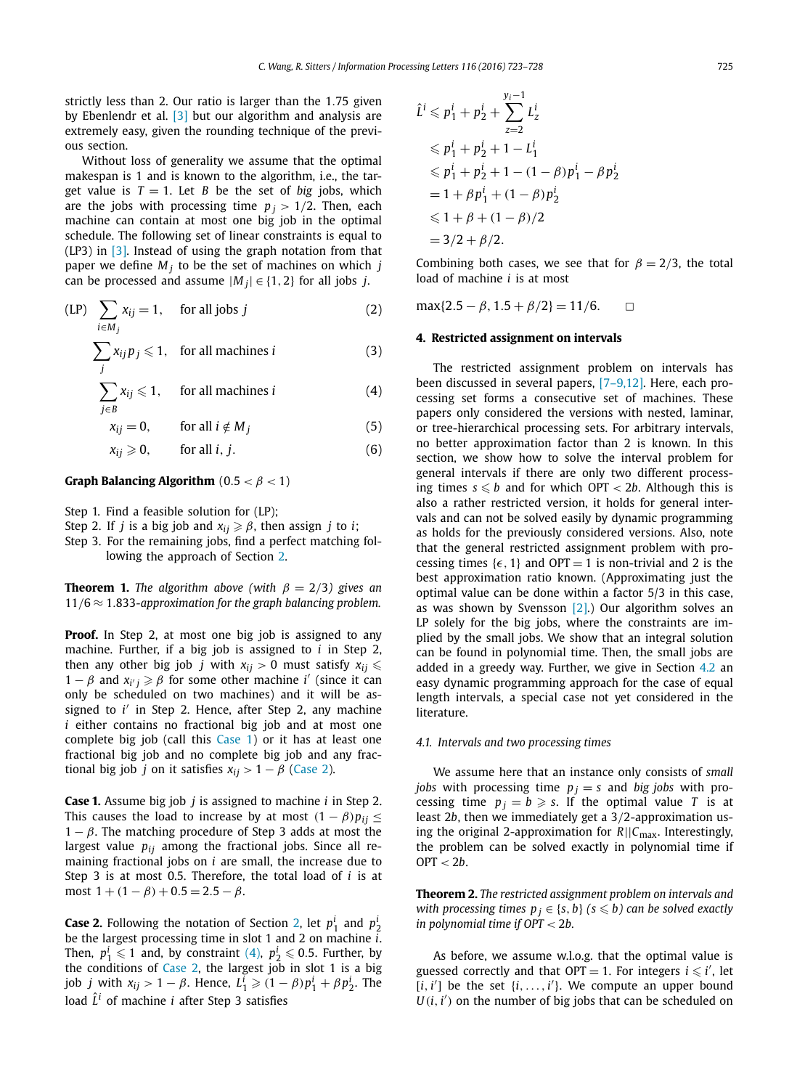<span id="page-2-0"></span>strictly less than 2. Our ratio is larger than the 1*.*75 given by Ebenlendr et al. [\[3\]](#page-5-0) but our algorithm and analysis are extremely easy, given the rounding technique of the previous section.

Without loss of generality we assume that the optimal makespan is 1 and is known to the algorithm, i.e., the target value is  $T = 1$ . Let *B* be the set of *big* jobs, which are the jobs with processing time  $p_j > 1/2$ . Then, each machine can contain at most one big job in the optimal schedule. The following set of linear constraints is equal to (LP3) in [\[3\].](#page-5-0) Instead of using the graph notation from that paper we define  $M_i$  to be the set of machines on which  $j$ can be processed and assume  $|M_j| \in \{1, 2\}$  for all jobs *j*.

$$
\text{(LP)} \quad \sum_{i \in M_j} x_{ij} = 1, \quad \text{ for all jobs } j \tag{2}
$$

$$
\sum_{j} x_{ij} p_j \leq 1, \text{ for all machines } i \tag{3}
$$

 $\sum$ *j*∈*B*  $x_{ij} \leqslant 1$ , for all machines *i* (4)

 $x_{ij} = 0$ , for all  $i \notin M_j$  (5)

$$
x_{ij} \geqslant 0, \qquad \text{for all } i, j. \tag{6}
$$

# **Graph Balancing Algorithm**  $(0.5 < \beta < 1)$

- Step 1. Find a feasible solution for (LP);
- Step 2. If *j* is a big job and  $x_{ij} \ge \beta$ , then assign *j* to *i*;
- Step 3. For the remaining jobs, find a perfect matching following the approach of Section [2.](#page-1-0)

**Theorem 1.** *The algorithm above (with*  $\beta = 2/3$ *) gives an* 11*/*6 ≈ 1*.*833*-approximation for the graph balancing problem.*

**Proof.** In Step 2, at most one big job is assigned to any machine. Further, if a big job is assigned to *i* in Step 2, then any other big job *j* with  $x_{ij} > 0$  must satisfy  $x_{ij} \leqslant$  $1 - \beta$  and  $x_{i'j} \geq \beta$  for some other machine *i'* (since it can only be scheduled on two machines) and it will be assigned to *i'* in Step 2. Hence, after Step 2, any machine *i* either contains no fractional big job and at most one complete big job (call this Case 1) or it has at least one fractional big job and no complete big job and any fractional big job *j* on it satisfies  $x_{ij} > 1 - \beta$  (Case 2).

**Case 1.** Assume big job *j* is assigned to machine *i* in Step 2. This causes the load to increase by at most  $(1 - \beta)p_{ii} \leq$  $1 - \beta$ . The matching procedure of Step 3 adds at most the largest value *pij* among the fractional jobs. Since all remaining fractional jobs on *i* are small, the increase due to Step 3 is at most 0.5. Therefore, the total load of *i* is at most  $1 + (1 - \beta) + 0.5 = 2.5 - \beta$ .

**Case 2.** Following the notation of Section [2,](#page-1-0) let  $p_1^i$  and  $p_2^i$ be the largest processing time in slot 1 and 2 on machine *i*. Then,  $p_1^i \leqslant 1$  and, by constraint (4),  $p_2^i \leqslant 0.5$ . Further, by the conditions of Case 2, the largest job in slot 1 is a big job *j* with  $x_{ij} > 1 - \beta$ . Hence,  $L_1^i \geqslant (1 - \beta)p_1^i + \beta p_2^i$ . The load  $\hat{L}^i$  of machine *i* after Step 3 satisfies

$$
\hat{L}^i \leqslant p_1^i + p_2^i + \sum_{z=2}^{y_i-1} L_z^i
$$
\n
$$
\leqslant p_1^i + p_2^i + 1 - L_1^i
$$
\n
$$
\leqslant p_1^i + p_2^i + 1 - (1 - \beta)p_1^i - \beta p_2^i
$$
\n
$$
= 1 + \beta p_1^i + (1 - \beta)p_2^i
$$
\n
$$
\leqslant 1 + \beta + (1 - \beta)/2
$$
\n
$$
= 3/2 + \beta/2.
$$

Combining both cases, we see that for  $\beta = 2/3$ , the total load of machine *i* is at most

 $max{2.5 - \beta, 1.5 + \beta/2} = 11/6.$ 

# **4. Restricted assignment on intervals**

The restricted assignment problem on intervals has been discussed in several papers, [\[7–9,12\].](#page-5-0) Here, each processing set forms a consecutive set of machines. These papers only considered the versions with nested, laminar, or tree-hierarchical processing sets. For arbitrary intervals, no better approximation factor than 2 is known. In this section, we show how to solve the interval problem for general intervals if there are only two different processing times  $s \leq b$  and for which OPT  $< 2b$ . Although this is also a rather restricted version, it holds for general intervals and can not be solved easily by dynamic programming as holds for the previously considered versions. Also, note that the general restricted assignment problem with processing times  $\{\epsilon, 1\}$  and OPT = 1 is non-trivial and 2 is the best approximation ratio known. (Approximating just the optimal value can be done within a factor 5/3 in this case, as was shown by Svensson  $[2]$ .) Our algorithm solves an LP solely for the big jobs, where the constraints are implied by the small jobs. We show that an integral solution can be found in polynomial time. Then, the small jobs are added in a greedy way. Further, we give in Section [4.2](#page-3-0) an easy dynamic programming approach for the case of equal length intervals, a special case not yet considered in the literature.

# *4.1. Intervals and two processing times*

We assume here that an instance only consists of *small jobs* with processing time  $p_j = s$  and *big jobs* with processing time  $p_i = b \geq s$ . If the optimal value *T* is at least 2*b*, then we immediately get a 3*/*2-approximation using the original 2-approximation for *R*||*C*max. Interestingly, the problem can be solved exactly in polynomial time if OPT *<* 2*b*.

**Theorem 2.** *The restricted assignment problem on intervals and with processing times*  $p_j \in \{s, b\}$   $(s \leqslant b)$  *can be solved exactly in polynomial time if OPT <* 2*b.*

As before, we assume w.l.o.g. that the optimal value is guessed correctly and that  $OPT = 1$ . For integers  $i \leq i'$ , let  $[i, i']$  be the set  $\{i, \ldots, i'\}$ . We compute an upper bound  $U(i, i')$  on the number of big jobs that can be scheduled on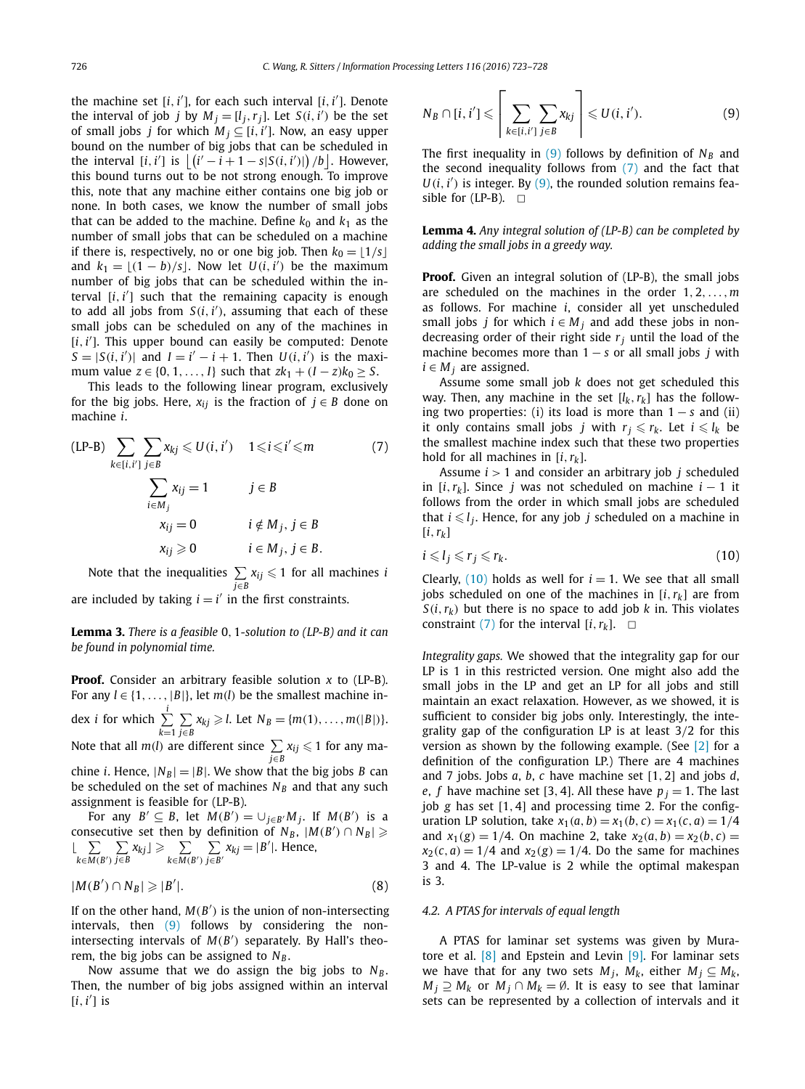<span id="page-3-0"></span>the machine set  $[i, i']$ , for each such interval  $[i, i']$ . Denote the interval of job *j* by  $M_j = [l_j, r_j]$ . Let  $S(i, i')$  be the set of small jobs *j* for which  $M_j \subseteq [i, i']$ . Now, an easy upper bound on the number of big jobs that can be scheduled in the interval  $[i, i']$  is  $\left| \frac{(i' - i + 1 - s |S(i, i'))}{b} \right|$ . However, this bound turns out to be not strong enough. To improve this, note that any machine either contains one big job or none. In both cases, we know the number of small jobs that can be added to the machine. Define  $k_0$  and  $k_1$  as the number of small jobs that can be scheduled on a machine if there is, respectively, no or one big job. Then  $k_0 = \lfloor 1/s \rfloor$ and  $k_1 = \lfloor (1-b)/s \rfloor$ . Now let  $U(i, i')$  be the maximum number of big jobs that can be scheduled within the in $t$ erval  $[i, i']$  such that the remaining capacity is enough to add all jobs from  $S(i, i')$ , assuming that each of these small jobs can be scheduled on any of the machines in [*i*, *i'*]. This upper bound can easily be computed: Denote  $S = |S(i, i')|$  and  $I = i' - i + 1$ . Then  $U(i, i')$  is the maximum value  $z \in \{0, 1, ..., l\}$  such that  $zk_1 + (I - z)k_0 \geq S$ .

This leads to the following linear program, exclusively for the big jobs. Here,  $x_{ij}$  is the fraction of  $j \in B$  done on machine *i*.

$$
\begin{aligned}\n\text{(LP-B)} \quad & \sum_{k \in [i,i']} \sum_{j \in B} x_{kj} \le U(i,i') \quad 1 \le i \le i' \le m \\
& \sum_{i \in M_j} x_{ij} = 1 \quad j \in B \\
& x_{ij} = 0 \quad i \notin M_j, \, j \in B \\
& x_{ij} \ge 0 \quad i \in M_j, \, j \in B.\n\end{aligned} \tag{7}
$$

Note that the inequalities  $\sum$  $\sum\limits_{j \in B} x_{ij} ≤ 1$  for all machines *i* are included by taking  $i = i'$  in the first constraints.

**Lemma 3.** *There is a feasible* 0*,* 1*-solution to (LP-B) and it can be found in polynomial time.*

**Proof.** Consider an arbitrary feasible solution *x* to (LP-B). For any  $l \in \{1, \ldots, |B|\}$ , let  $m(l)$  be the smallest machine index *i* for which  $\sum_{i=1}^{i}$  $\sum_{k=1}$   $\sum_{j \in E}$ *j*∈*B x*<sub>*kj*</sub>  $\geq$ *l***. Let** *N<sub>B</sub>* **= {***m***(1***),...,m***(|***B***|***)***}.** Note that all  $m(l)$  are different since  $\sum$  $\sum\limits_{j \in B} x_{ij}$  ≤ 1 for any ma-

chine *i*. Hence,  $|N_B| = |B|$ . We show that the big jobs *B* can be scheduled on the set of machines  $N_B$  and that any such assignment is feasible for (LP-B).

For any  $B' \subseteq B$ , let  $M(B') = \bigcup_{j \in B'} M_j$ . If  $M(B')$  is a consecutive set then by definition of  $N_B$ ,  $|M(B') \cap N_B|$   $\geq$  $\lfloor$   $\sum$  $k ∈ \overline{M(B')})$  $\sum$  $\sum_{j\in B} x_{kj}$   $\geqslant$   $\sum_{k\in M}$  (  $k ∈ \overline{M(B')}$  $\sum$  $\sum_{j \in B'} x_{kj} = |B'|$ . Hence,

$$
|M(B') \cap N_B| \geqslant |B'|.
$$
 (8)

If on the other hand,  $M(B')$  is the union of non-intersecting intervals, then (9) follows by considering the nonintersecting intervals of  $M(B')$  separately. By Hall's theorem, the big jobs can be assigned to  $N_B$ .

Now assume that we do assign the big jobs to  $N_B$ . Then, the number of big jobs assigned within an interval  $[i, i']$  is

$$
N_B \cap [i, i'] \leqslant \left\lceil \sum_{k \in [i, i']}\sum_{j \in B} x_{kj} \right\rceil \leqslant U(i, i'). \tag{9}
$$

The first inequality in  $(9)$  follows by definition of  $N_B$  and the second inequality follows from  $(7)$  and the fact that  $U(i, i')$  is integer. By (9), the rounded solution remains feasible for (LP-B).  $\Box$ 

**Lemma 4.** *Any integral solution of (LP-B) can be completed by adding the small jobs in a greedy way.*

**Proof.** Given an integral solution of (LP-B), the small jobs are scheduled on the machines in the order 1*,* 2*,...,m* as follows. For machine *i*, consider all yet unscheduled small jobs *j* for which  $i \in M_j$  and add these jobs in nondecreasing order of their right side  $r_i$  until the load of the machine becomes more than 1 − *s* or all small jobs *j* with  $i \in M_i$  are assigned.

Assume some small job *k* does not get scheduled this way. Then, any machine in the set  $[l_k, r_k]$  has the following two properties: (i) its load is more than 1 − *s* and (ii) it only contains small jobs *j* with  $r_j \leqslant r_k$ . Let  $i \leqslant l_k$  be the smallest machine index such that these two properties hold for all machines in [*i,rk*].

Assume *i >* 1 and consider an arbitrary job *j* scheduled in  $[i, r_k]$ . Since *j* was not scheduled on machine  $i - 1$  it follows from the order in which small jobs are scheduled that  $i \leq l_j$ . Hence, for any job  $j$  scheduled on a machine in  $[i, r_k]$ 

$$
i \leqslant l_j \leqslant r_j \leqslant r_k. \tag{10}
$$

Clearly,  $(10)$  holds as well for  $i = 1$ . We see that all small jobs scheduled on one of the machines in  $[i, r_k]$  are from  $S(i, r_k)$  but there is no space to add job *k* in. This violates constraint (7) for the interval  $[i, r_k]$ .  $\Box$ 

*Integrality gaps.* We showed that the integrality gap for our LP is 1 in this restricted version. One might also add the small jobs in the LP and get an LP for all jobs and still maintain an exact relaxation. However, as we showed, it is sufficient to consider big jobs only. Interestingly, the integrality gap of the configuration LP is at least 3*/*2 for this version as shown by the following example. (See  $\lceil 2 \rceil$  for a definition of the configuration LP.) There are 4 machines and 7 jobs. Jobs *a*, *b*, *c* have machine set [1*,* 2] and jobs *d*, *e*, *f* have machine set [3, 4]. All these have  $p_i = 1$ . The last job *g* has set [1*,* 4] and processing time 2. For the configuration LP solution, take  $x_1(a, b) = x_1(b, c) = x_1(c, a) = 1/4$ and  $x_1(g) = 1/4$ . On machine 2, take  $x_2(a, b) = x_2(b, c)$  $x_2(c, a) = 1/4$  and  $x_2(g) = 1/4$ . Do the same for machines 3 and 4. The LP-value is 2 while the optimal makespan is 3.

# *4.2. A PTAS for intervals of equal length*

A PTAS for laminar set systems was given by Muratore et al.  $[8]$  and Epstein and Levin  $[9]$ . For laminar sets we have that for any two sets  $M_j$ ,  $M_k$ , either  $M_j \subseteq M_k$ , *M*<sub>*i*</sub> ⊇ *M*<sub>*k*</sub> or *M*<sub>*i*</sub> ∩ *M*<sub>*k*</sub> =  $\emptyset$ . It is easy to see that laminar sets can be represented by a collection of intervals and it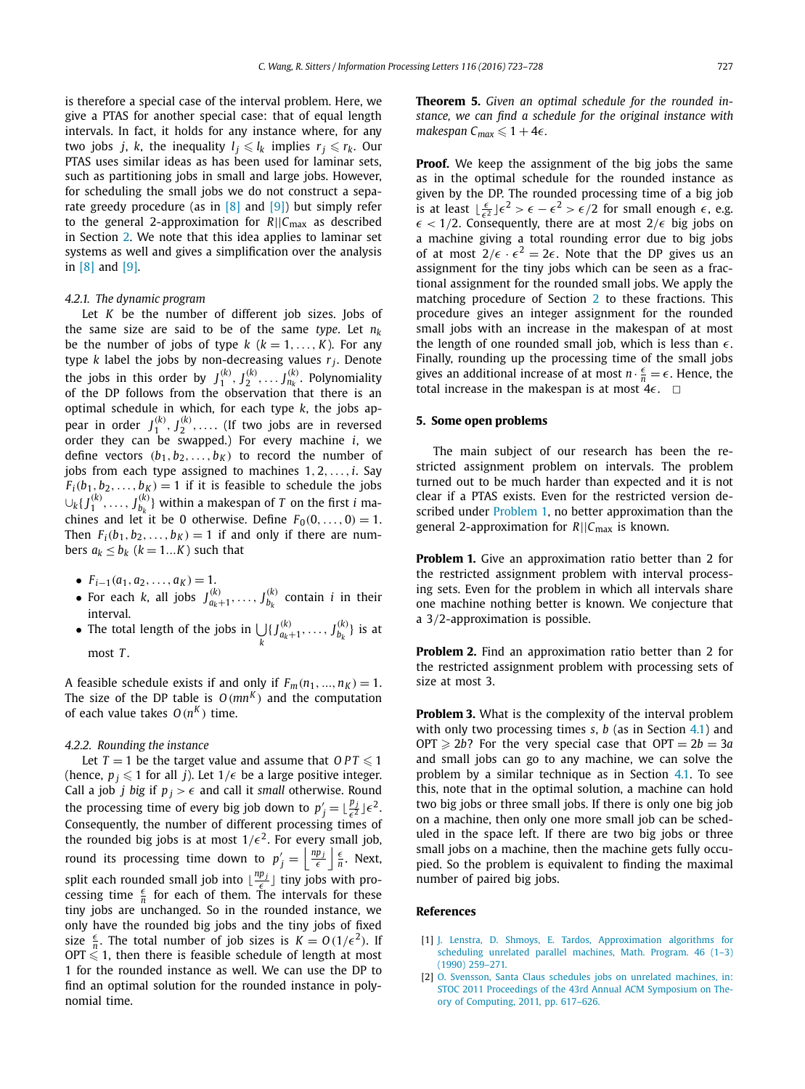<span id="page-4-0"></span>is therefore a special case of the interval problem. Here, we give a PTAS for another special case: that of equal length intervals. In fact, it holds for any instance where, for any two jobs *j*, *k*, the inequality  $l_j \leqslant l_k$  implies  $r_j \leqslant r_k$ . Our PTAS uses similar ideas as has been used for laminar sets, such as partitioning jobs in small and large jobs. However, for scheduling the small jobs we do not construct a separate greedy procedure (as in  $[8]$  and  $[9]$ ) but simply refer to the general 2-approximation for *R*||*C*max as described in Section [2.](#page-1-0) We note that this idea applies to laminar set systems as well and gives a simplification over the analysis in [\[8\]](#page-5-0) and [\[9\].](#page-5-0)

# *4.2.1. The dynamic program*

Let *K* be the number of different job sizes. Jobs of the same size are said to be of the same *type*. Let  $n_k$ be the number of jobs of type  $k$  ( $k = 1, \ldots, K$ ). For any type  $k$  label the jobs by non-decreasing values  $r_i$ . Denote the jobs in this order by  $J_1^{(k)}, J_2^{(k)}, \ldots J_{n_k}^{(k)}$ . Polynomiality of the DP follows from the observation that there is an optimal schedule in which, for each type *k*, the jobs appear in order  $J_1^{(k)}, J_2^{(k)}, \ldots$  (If two jobs are in reversed order they can be swapped.) For every machine *i*, we define vectors  $(b_1, b_2, \ldots, b_k)$  to record the number of jobs from each type assigned to machines 1*,* 2*,...,i*. Say  $F_i(b_1, b_2, \ldots, b_K) = 1$  if it is feasible to schedule the jobs  $\cup_k\{J_1^{(k)},\ldots,J_{b_k}^{(k)}\}$  within a makespan of  $T$  on the first  $i$  machines and let it be 0 otherwise. Define  $F_0(0, \ldots, 0) = 1$ . Then  $F_i(b_1, b_2, \ldots, b_K) = 1$  if and only if there are numbers  $a_k \leq b_k$  ( $k = 1...K$ ) such that

- $F_{i-1}(a_1, a_2, \ldots, a_K) = 1.$
- For each *k*, all jobs  $J_{a_k+1}^{(k)}, \ldots, J_{b_k}^{(k)}$  contain *i* in their interval.
- The total length of the jobs in  *k*  $\{J_{a_k+1}^{(k)}, \ldots, J_{b_k}^{(k)}\}$  is at most *T* .

A feasible schedule exists if and only if  $F_m(n_1, ..., n_K) = 1$ . The size of the DP table is  $O(mn^K)$  and the computation of each value takes  $O(n^K)$  time.

# *4.2.2. Rounding the instance*

Let  $T = 1$  be the target value and assume that  $OPT \leqslant 1$ (hence,  $p_j \leqslant 1$  for all *j*). Let  $1/\epsilon$  be a large positive integer. Call a job *j* big if  $p_j > \epsilon$  and call it *small* otherwise. Round the processing time of every big job down to  $p'_j = \lfloor \frac{p_j}{\epsilon^2} \rfloor \epsilon^2$ .<br>Consequently, the number of different processing times of the rounded big jobs is at most  $1/\epsilon^2$ . For every small job, round its processing time down to  $p'_j = \left| \frac{np_j}{\epsilon} \right| \frac{\epsilon}{n}$ . Next, split each rounded small job into  $\lfloor \frac{np_j}{\epsilon} \rfloor$  tiny jobs with pro-<br>cessing time  $\frac{\epsilon}{n}$  for each of them. The intervals for these tiny jobs are unchanged. So in the rounded instance, we only have the rounded big jobs and the tiny jobs of fixed size  $\frac{\epsilon}{n}$ . The total number of job sizes is  $K = O(1/\epsilon^2)$ . If OPT  $\leqslant$  1, then there is feasible schedule of length at most 1 for the rounded instance as well. We can use the DP to find an optimal solution for the rounded instance in polynomial time.

**Theorem 5.** *Given an optimal schedule for the rounded instance, we can find a schedule for the original instance with*  $m$ akespan  $C_{max} \leqslant 1 + 4\epsilon$ .

**Proof.** We keep the assignment of the big jobs the same as in the optimal schedule for the rounded instance as given by the DP. The rounded processing time of a big job is at least  $\lfloor \frac{\epsilon}{\epsilon^2} \rfloor \epsilon^2 > \epsilon - \epsilon^2 > \epsilon/2$  for small enough  $\epsilon$ , e.g.  $\epsilon < 1/2$ . Consequently, there are at most  $2/\epsilon$  big jobs on a machine giving a total rounding error due to big jobs of at most  $2/\epsilon \cdot \epsilon^2 = 2\epsilon$ . Note that the DP gives us an assignment for the tiny jobs which can be seen as a fractional assignment for the rounded small jobs. We apply the matching procedure of Section [2](#page-1-0) to these fractions. This procedure gives an integer assignment for the rounded small jobs with an increase in the makespan of at most the length of one rounded small job, which is less than  $\epsilon$ . Finally, rounding up the processing time of the small jobs gives an additional increase of at most  $n \cdot \frac{\epsilon}{n} = \epsilon$ . Hence, the total increase in the makespan is at most  $4\epsilon$ .  $\Box$ 

# **5. Some open problems**

The main subject of our research has been the restricted assignment problem on intervals. The problem turned out to be much harder than expected and it is not clear if a PTAS exists. Even for the restricted version described under Problem 1, no better approximation than the general 2-approximation for *R*||*C*max is known.

**Problem 1.** Give an approximation ratio better than 2 for the restricted assignment problem with interval processing sets. Even for the problem in which all intervals share one machine nothing better is known. We conjecture that a 3*/*2-approximation is possible.

**Problem 2.** Find an approximation ratio better than 2 for the restricted assignment problem with processing sets of size at most 3.

**Problem 3.** What is the complexity of the interval problem with only two processing times *s*, *b* (as in Section [4.1\)](#page-2-0) and OPT  $\geq 2b$ ? For the very special case that OPT =  $2b = 3a$ and small jobs can go to any machine, we can solve the problem by a similar technique as in Section [4.1.](#page-2-0) To see this, note that in the optimal solution, a machine can hold two big jobs or three small jobs. If there is only one big job on a machine, then only one more small job can be scheduled in the space left. If there are two big jobs or three small jobs on a machine, then the machine gets fully occupied. So the problem is equivalent to finding the maximal number of paired big jobs.

#### **References**

- [1] J. Lenstra, D. Shmoys, E. Tardos, [Approximation](http://refhub.elsevier.com/S0020-0190(16)30091-6/bib4C656E73747261s1) algorithms for [scheduling](http://refhub.elsevier.com/S0020-0190(16)30091-6/bib4C656E73747261s1) unrelated parallel machines, Math. Program. 46 (1–3) (1990) [259–271.](http://refhub.elsevier.com/S0020-0190(16)30091-6/bib4C656E73747261s1)
- [2] O. Svensson, Santa Claus schedules jobs on unrelated [machines,](http://refhub.elsevier.com/S0020-0190(16)30091-6/bib5376656E73736F6Es1) in: STOC 2011 [Proceedings](http://refhub.elsevier.com/S0020-0190(16)30091-6/bib5376656E73736F6Es1) of the 43rd Annual ACM Symposium on Theory of Computing, 2011, [pp. 617–626.](http://refhub.elsevier.com/S0020-0190(16)30091-6/bib5376656E73736F6Es1)